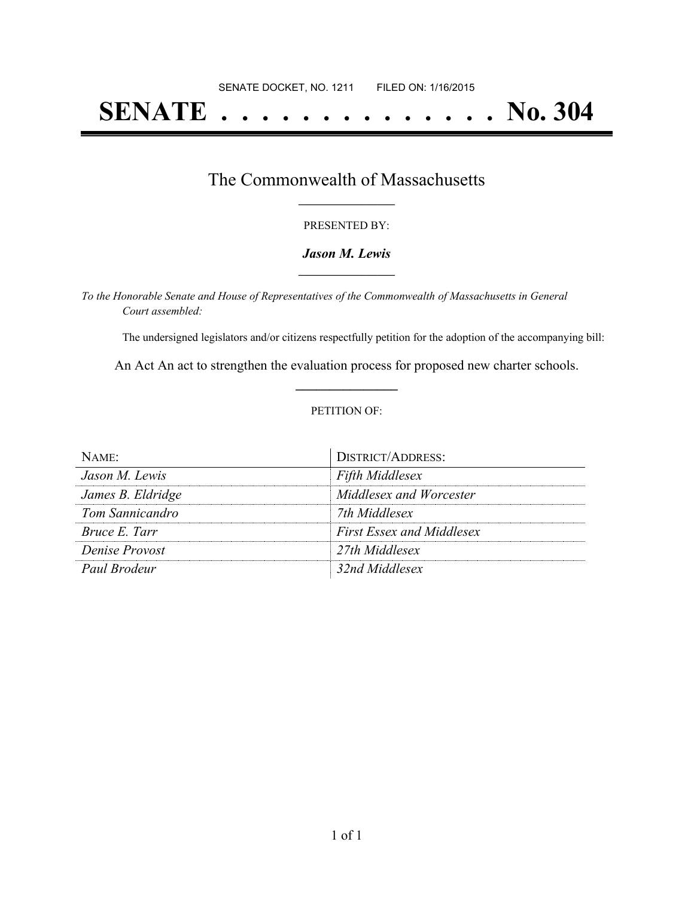# **SENATE . . . . . . . . . . . . . . No. 304**

### The Commonwealth of Massachusetts **\_\_\_\_\_\_\_\_\_\_\_\_\_\_\_\_\_**

#### PRESENTED BY:

#### *Jason M. Lewis* **\_\_\_\_\_\_\_\_\_\_\_\_\_\_\_\_\_**

*To the Honorable Senate and House of Representatives of the Commonwealth of Massachusetts in General Court assembled:*

The undersigned legislators and/or citizens respectfully petition for the adoption of the accompanying bill:

An Act An act to strengthen the evaluation process for proposed new charter schools. **\_\_\_\_\_\_\_\_\_\_\_\_\_\_\_**

#### PETITION OF:

| NAME                 | DISTRICT/ADDRESS:                |
|----------------------|----------------------------------|
| Jason M. Lewis       | <b>Fifth Middlesex</b>           |
| James B. Eldridge    | Middlesex and Worcester          |
| Tom Sannicandro      | 7th Middlesex                    |
| <i>Bruce E. Tarr</i> | <b>First Essex and Middlesex</b> |
| Denise Provost       | 27th Middlesex                   |
| Paul Brodeur         | 32nd Middlesex                   |